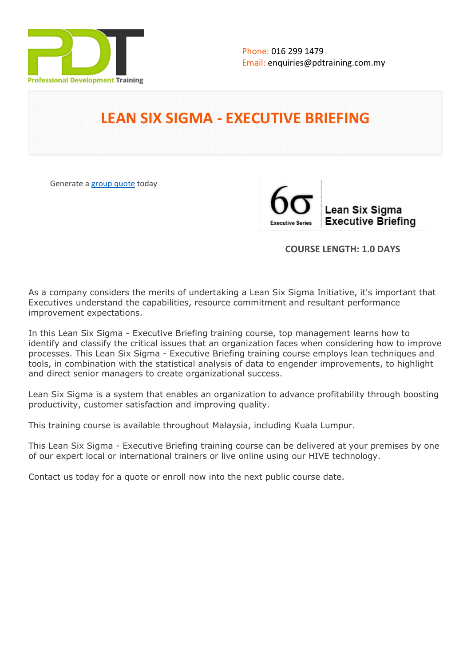

# **LEAN SIX SIGMA - EXECUTIVE BRIEFING**

Generate a [group quote](https://pdtraining.com.my/inhouse-training-quote?cse=PDT0173) today

Lean Six Sigma **Executive Briefing** 

# **COURSE LENGTH: 1.0 DAYS**

As a company considers the merits of undertaking a Lean Six Sigma Initiative, it's important that Executives understand the capabilities, resource commitment and resultant performance improvement expectations.

In this Lean Six Sigma - Executive Briefing training course, top management learns how to identify and classify the critical issues that an organization faces when considering how to improve processes. This Lean Six Sigma - Executive Briefing training course employs lean techniques and tools, in combination with the statistical analysis of data to engender improvements, to highlight and direct senior managers to create organizational success.

Lean Six Sigma is a system that enables an organization to advance profitability through boosting productivity, customer satisfaction and improving quality.

This training course is available throughout Malaysia, including Kuala Lumpur.

This Lean Six Sigma - Executive Briefing training course can be delivered at your premises by one of our expert local or international trainers or live online using our HIVE technology.

Contact us today for a quote or enroll now into the next public course date.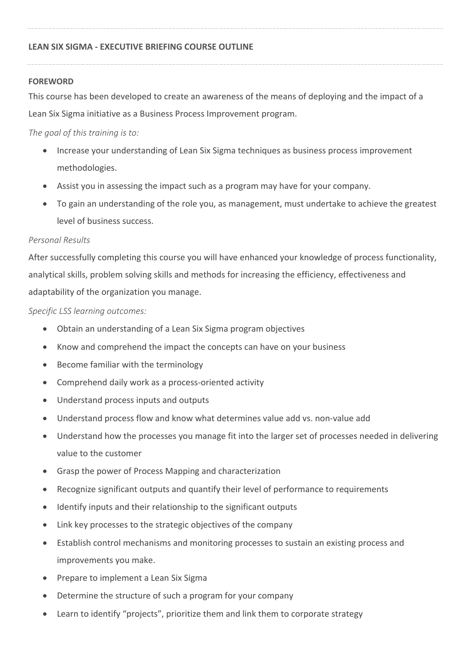## **FOREWORD**

This course has been developed to create an awareness of the means of deploying and the impact of a Lean Six Sigma initiative as a Business Process Improvement program.

*The goal of this training is to:*

- Increase your understanding of Lean Six Sigma techniques as business process improvement methodologies.
- Assist you in assessing the impact such as a program may have for your company.
- To gain an understanding of the role you, as management, must undertake to achieve the greatest level of business success.

# *Personal Results*

After successfully completing this course you will have enhanced your knowledge of process functionality, analytical skills, problem solving skills and methods for increasing the efficiency, effectiveness and adaptability of the organization you manage.

*Specific LSS learning outcomes:*

- Obtain an understanding of a Lean Six Sigma program objectives
- Know and comprehend the impact the concepts can have on your business
- Become familiar with the terminology
- Comprehend daily work as a process-oriented activity
- Understand process inputs and outputs
- Understand process flow and know what determines value add vs. non-value add
- Understand how the processes you manage fit into the larger set of processes needed in delivering value to the customer
- Grasp the power of Process Mapping and characterization
- Recognize significant outputs and quantify their level of performance to requirements
- Identify inputs and their relationship to the significant outputs
- Link key processes to the strategic objectives of the company
- Establish control mechanisms and monitoring processes to sustain an existing process and improvements you make.
- Prepare to implement a Lean Six Sigma
- Determine the structure of such a program for your company
- Learn to identify "projects", prioritize them and link them to corporate strategy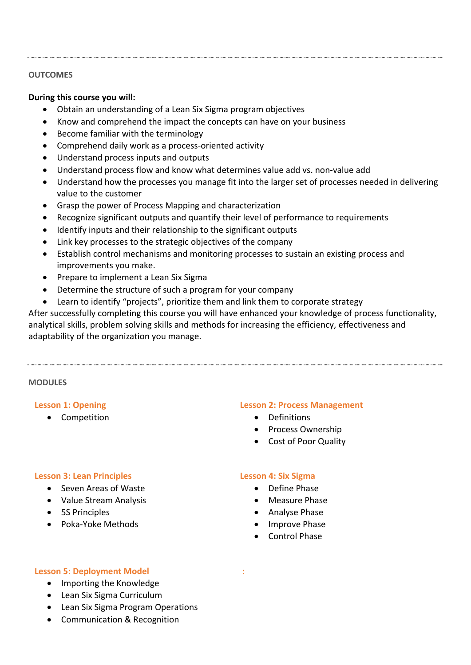## **OUTCOMES**

## **During this course you will:**

- Obtain an understanding of a Lean Six Sigma program objectives
- Know and comprehend the impact the concepts can have on your business
- Become familiar with the terminology
- Comprehend daily work as a process-oriented activity
- Understand process inputs and outputs
- Understand process flow and know what determines value add vs. non-value add
- Understand how the processes you manage fit into the larger set of processes needed in delivering value to the customer
- Grasp the power of Process Mapping and characterization
- Recognize significant outputs and quantify their level of performance to requirements
- Identify inputs and their relationship to the significant outputs
- Link key processes to the strategic objectives of the company
- Establish control mechanisms and monitoring processes to sustain an existing process and improvements you make.
- Prepare to implement a Lean Six Sigma
- Determine the structure of such a program for your company
- Learn to identify "projects", prioritize them and link them to corporate strategy

After successfully completing this course you will have enhanced your knowledge of process functionality, analytical skills, problem solving skills and methods for increasing the efficiency, effectiveness and adaptability of the organization you manage.

#### **MODULES**

#### **Lesson 1: Opening**

**•** Competition

#### **Lesson 2: Process Management**

- Definitions
- Process Ownership
- Cost of Poor Quality

## **Lesson 3: Lean Principles**

- Seven Areas of Waste
- Value Stream Analysis
- 5S Principles
- Poka-Yoke Methods

## **Lesson 4: Six Sigma**

- Define Phase
- Measure Phase
- Analyse Phase
- Improve Phase
- Control Phase

 **:** 

#### **Lesson 5: Deployment Model**

- Importing the Knowledge
- Lean Six Sigma Curriculum
- Lean Six Sigma Program Operations
- Communication & Recognition